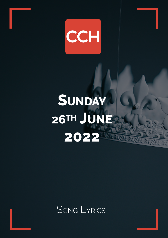

# **SUNDAY 26TH JUNEA 2022**

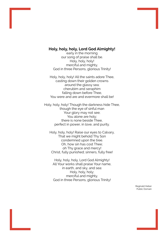## **Holy, holy, holy, Lord God Almighty!**

early in the morning our song of praise shall be. Holy, holy, holy! merciful and mighty, God in three Persons, glorious Trinity!

Holy, holy, holy! All the saints adore Thee, casting down their golden crowns around the glassy sea; cherubim and seraphim falling down before Thee, You were and are and evermore shall be!

Holy, holy, holy! Though the darkness hide Thee, though the eye of sinful man Your glory may not see; You alone are holy; there is none beside Thee, perfect in power, in love, and purity.

Holy, holy, holy! Raise our eyes to Calvary, That we might behold Thy Son condemned upon the tree. Oh, how sin has cost Thee; oh Thy grace and mercy! Christ, fully punished; sinners, fully free!

Holy, holy, holy, Lord God Almighty! All Your works shall praise Your name, in earth, and sky, and sea: Holy, holy, holy; merciful and mighty, God in three Persons, glorious Trinity!

> Reginald Heber Public Domain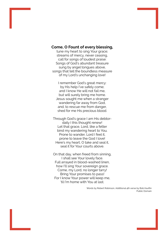### **Come, O Fount of every blessing,**

tune my heart to sing Your grace; streams of mercy, never ceasing, call for songs of loudest praise: Songs of God's abundant treasure sung by angel tongues above, songs that tell the boundless measure of my Lord's unchanging love!

I remember God's great mercy: by His help I've safely come; and I know He will not fail me, but will surely bring me home. Jesus sought me when a stranger wandering far away from God, and, to rescue me from danger, shed for me His precious blood.

Through God's grace I am His debtordaily I this thought renew! Let that grace, Lord, like a fetter bind my wandering heart to You. Prone to wander, Lord I feel it, prone to leave the God I love! Here's my heart, O take and seal it, seal it for Your courts above.

On that day, when freed from sinning, I shall see Your lovely face. Full arrayed in blood-washed linen, how I'll sing Your sovereign grace. Come, my Lord, no longer tarry! Bring Your promises to pass! For I know Your power will keep me, 'til I'm home with You at last.

> Words by Robert Robinson, Additional 4th verse by Bob Kauflin Public Domain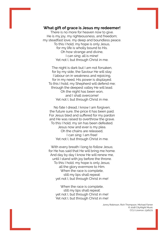#### **What gift of grace is Jesus my redeemer!**

There is no more for heaven now to give. He is my joy, my righteousness, and freedom; my steadfast love, my deep and boundless peace. To this I hold, my hope is only Jesus, for my life is wholly bound to His. Oh how strange and divine, I can sing: all is mine! Yet not I, but through Christ in me.

The night is dark but I am not forsaken. for by my side, the Saviour He will stay. I labour on in weakness and rejoicing, for in my need, His power is displayed. To this I hold, my Shepherd will defend me; through the deepest valley He will lead. Oh the night has been won, and I shall overcome! Yet not I, but through Christ in me.

No fate I dread, I know I am forgiven; the future sure, the price it has been paid. For Jesus bled and suffered for my pardon and He was raised to overthrow the grave. To this I hold, my sin has been defeated. Jesus now and ever is my plea. Oh the chains are released, I can sing: I am free! Yet not I, but through Christ in me.

With every breath I long to follow Jesus; for He has said that He will bring me home. And day by day I know He will renew me, until I stand with joy before the throne. To this I hold, my hope is only Jesus; all the glory evermore to Him. When the race is complete, still my lips shall repeat: yet not I, but through Christ in me!

When the race is complete, still my lips shall repeat: yet not I, but through Christ in me! Yet not I, but through Christ in me!

> Jonny Robinson, Rich Thompson, Michael Farren © 2018 CityAlight Music CCLI Licence: 2316272